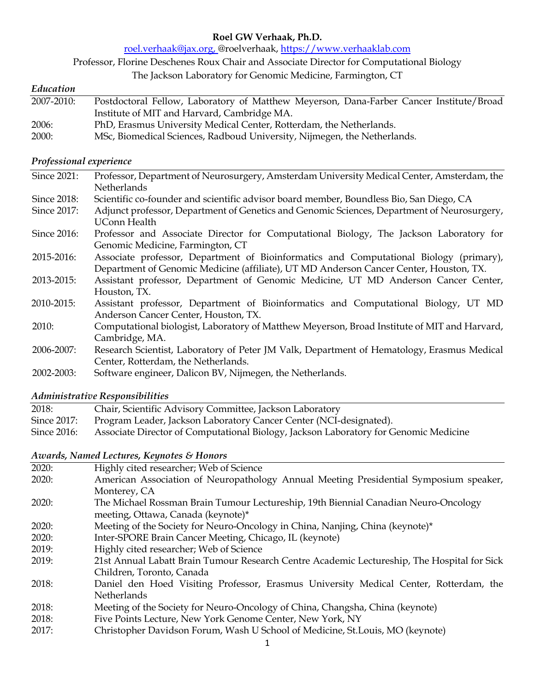# **Roel GW Verhaak, Ph.D.**

roel.verhaak@jax.org, @roelverhaak, https://www.verhaaklab.com

Professor, Florine Deschenes Roux Chair and Associate Director for Computational Biology

The Jackson Laboratory for Genomic Medicine, Farmington, CT

#### *Education*

| Postdoctoral Fellow, Laboratory of Matthew Meyerson, Dana-Farber Cancer Institute/Broad |
|-----------------------------------------------------------------------------------------|
| Institute of MIT and Harvard, Cambridge MA.                                             |
| PhD, Erasmus University Medical Center, Rotterdam, the Netherlands.                     |
| MSc, Biomedical Sciences, Radboud University, Nijmegen, the Netherlands.                |
|                                                                                         |

# *Professional experience*

| Since 2021:  | Professor, Department of Neurosurgery, Amsterdam University Medical Center, Amsterdam, the<br><b>Netherlands</b>                                                                 |
|--------------|----------------------------------------------------------------------------------------------------------------------------------------------------------------------------------|
| Since 2018:  | Scientific co-founder and scientific advisor board member, Boundless Bio, San Diego, CA                                                                                          |
| Since 2017:  | Adjunct professor, Department of Genetics and Genomic Sciences, Department of Neurosurgery,<br><b>UConn Health</b>                                                               |
| Since 2016:  | Professor and Associate Director for Computational Biology, The Jackson Laboratory for<br>Genomic Medicine, Farmington, CT                                                       |
| 2015-2016:   | Associate professor, Department of Bioinformatics and Computational Biology (primary),<br>Department of Genomic Medicine (affiliate), UT MD Anderson Cancer Center, Houston, TX. |
| 2013-2015:   | Assistant professor, Department of Genomic Medicine, UT MD Anderson Cancer Center,<br>Houston, TX.                                                                               |
| 2010-2015:   | Assistant professor, Department of Bioinformatics and Computational Biology, UT MD<br>Anderson Cancer Center, Houston, TX.                                                       |
| <b>2010:</b> | Computational biologist, Laboratory of Matthew Meyerson, Broad Institute of MIT and Harvard,<br>Cambridge, MA.                                                                   |
| 2006-2007:   | Research Scientist, Laboratory of Peter JM Valk, Department of Hematology, Erasmus Medical<br>Center, Rotterdam, the Netherlands.                                                |
| 2002-2003:   | Software engineer, Dalicon BV, Nijmegen, the Netherlands.                                                                                                                        |

# *Administrative Responsibilities*

| 2018:       | Chair, Scientific Advisory Committee, Jackson Laboratory                             |
|-------------|--------------------------------------------------------------------------------------|
| Since 2017: | Program Leader, Jackson Laboratory Cancer Center (NCI-designated).                   |
| Since 2016: | Associate Director of Computational Biology, Jackson Laboratory for Genomic Medicine |

### *Awards, Named Lectures, Keynotes & Honors*

| 2020: | Highly cited researcher; Web of Science                                                     |
|-------|---------------------------------------------------------------------------------------------|
| 2020: | American Association of Neuropathology Annual Meeting Presidential Symposium speaker,       |
|       | Monterey, CA                                                                                |
| 2020: | The Michael Rossman Brain Tumour Lectureship, 19th Biennial Canadian Neuro-Oncology         |
|       | meeting, Ottawa, Canada (keynote)*                                                          |
| 2020: | Meeting of the Society for Neuro-Oncology in China, Nanjing, China (keynote)*               |
| 2020: | Inter-SPORE Brain Cancer Meeting, Chicago, IL (keynote)                                     |
| 2019: | Highly cited researcher; Web of Science                                                     |
| 2019: | 21st Annual Labatt Brain Tumour Research Centre Academic Lectureship, The Hospital for Sick |
|       | Children, Toronto, Canada                                                                   |
| 2018: | Daniel den Hoed Visiting Professor, Erasmus University Medical Center, Rotterdam, the       |
|       | Netherlands                                                                                 |
| 2018: | Meeting of the Society for Neuro-Oncology of China, Changsha, China (keynote)               |
| 2018: | Five Points Lecture, New York Genome Center, New York, NY                                   |
| 2017: | Christopher Davidson Forum, Wash U School of Medicine, St. Louis, MO (keynote)              |
|       |                                                                                             |